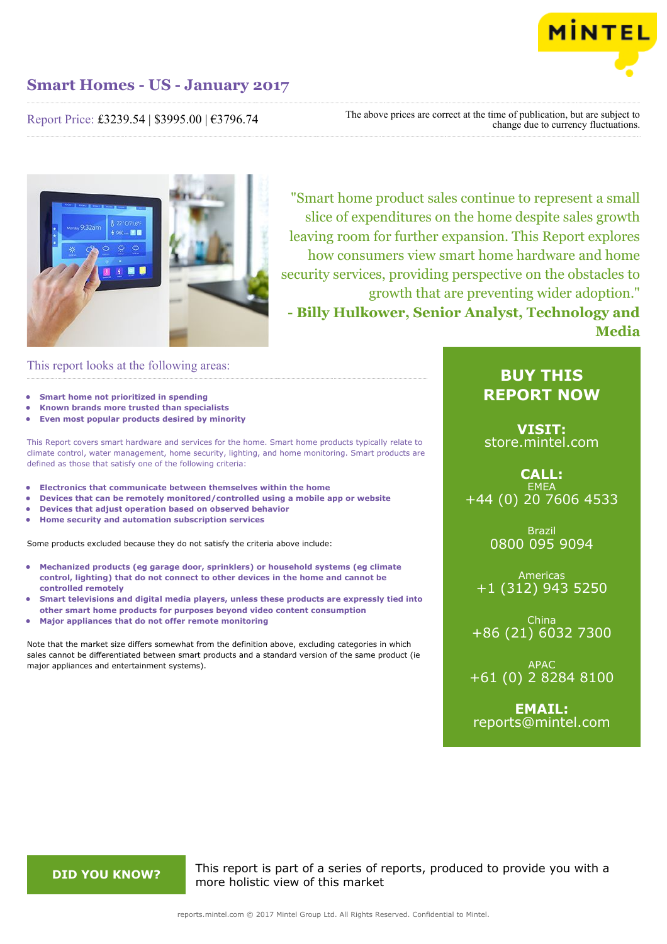

Report Price: £3239.54 | \$3995.00 | €3796.74

The above prices are correct at the time of publication, but are subject to change due to currency fluctuations.



"Smart home product sales continue to represent a small slice of expenditures on the home despite sales growth leaving room for further expansion. This Report explores how consumers view smart home hardware and home security services, providing perspective on the obstacles to growth that are preventing wider adoption." **- Billy Hulkower, Senior Analyst, Technology and Media**

### This report looks at the following areas:

- **• Smart home not prioritized in spending**
- **• Known brands more trusted than specialists**
- **• Even most popular products desired by minority**

This Report covers smart hardware and services for the home. Smart home products typically relate to climate control, water management, home security, lighting, and home monitoring. Smart products are defined as those that satisfy one of the following criteria:

- **• Electronics that communicate between themselves within the home**
- **• Devices that can be remotely monitored/controlled using a mobile app or website**
- **• Devices that adjust operation based on observed behavior**
- **• Home security and automation subscription services**

Some products excluded because they do not satisfy the criteria above include:

- **• Mechanized products (eg garage door, sprinklers) or household systems (eg climate control, lighting) that do not connect to other devices in the home and cannot be controlled remotely**
- **• Smart televisions and digital media players, unless these products are expressly tied into**
- **other smart home products for purposes beyond video content consumption**
- **• Major appliances that do not offer remote monitoring**

Note that the market size differs somewhat from the definition above, excluding categories in which sales cannot be differentiated between smart products and a standard version of the same product (ie major appliances and entertainment systems).

## **BUY THIS REPORT NOW**

**VISIT:** [store.mintel.com](http://reports.mintel.com//display/store/792357/)

**CALL: EMEA** +44 (0) 20 7606 4533

> Brazil 0800 095 9094

Americas +1 (312) 943 5250

China +86 (21) 6032 7300

APAC +61 (0) 2 8284 8100

**EMAIL:** [reports@mintel.com](mailto:reports@mintel.com)

**DID YOU KNOW?** This report is part of a series of reports, produced to provide you with a more holistic view of this market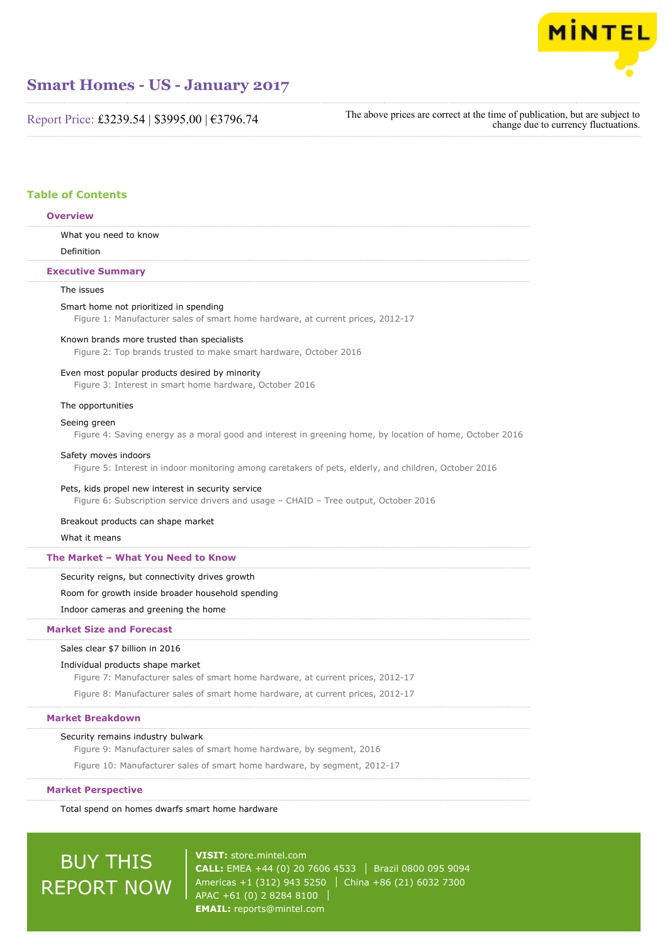

Report Price: £3239.54 | \$3995.00 | €3796.74

The above prices are correct at the time of publication, but are subject to change due to currency fluctuations.

### **Table of Contents**

#### **Overview**

What you need to know

Definition

#### **Executive Summary**

#### The issues

#### Smart home not prioritized in spending

Figure 1: Manufacturer sales of smart home hardware, at current prices, 2012-17

#### Known brands more trusted than specialists

Figure 2: Top brands trusted to make smart hardware, October 2016

#### Even most popular products desired by minority

Figure 3: Interest in smart home hardware, October 2016

#### The opportunities

#### Seeing green

Figure 4: Saving energy as a moral good and interest in greening home, by location of home, October 2016

#### Safety moves indoors

Figure 5: Interest in indoor monitoring among caretakers of pets, elderly, and children, October 2016

#### Pets, kids propel new interest in security service

Figure 6: Subscription service drivers and usage – CHAID – Tree output, October 2016

Breakout products can shape market

#### What it means

#### **The Market – What You Need to Know**

Security reigns, but connectivity drives growth

Room for growth inside broader household spending

Indoor cameras and greening the home

#### **Market Size and Forecast**

#### Sales clear \$7 billion in 2016

#### Individual products shape market

Figure 7: Manufacturer sales of smart home hardware, at current prices, 2012-17

Figure 8: Manufacturer sales of smart home hardware, at current prices, 2012-17

#### **Market Breakdown**

#### Security remains industry bulwark

Figure 9: Manufacturer sales of smart home hardware, by segment, 2016

Figure 10: Manufacturer sales of smart home hardware, by segment, 2012-17

#### **Market Perspective**

Total spend on homes dwarfs smart home hardware

# BUY THIS REPORT NOW

**VISIT:** [store.mintel.com](http://reports.mintel.com//display/store/792357/) **CALL:** EMEA +44 (0) 20 7606 4533 | Brazil 0800 095 9094 Americas +1 (312) 943 5250 | China +86 (21) 6032 7300 APAC +61 (0) 2 8284 8100 **EMAIL:** [reports@mintel.com](mailto:reports@mintel.com)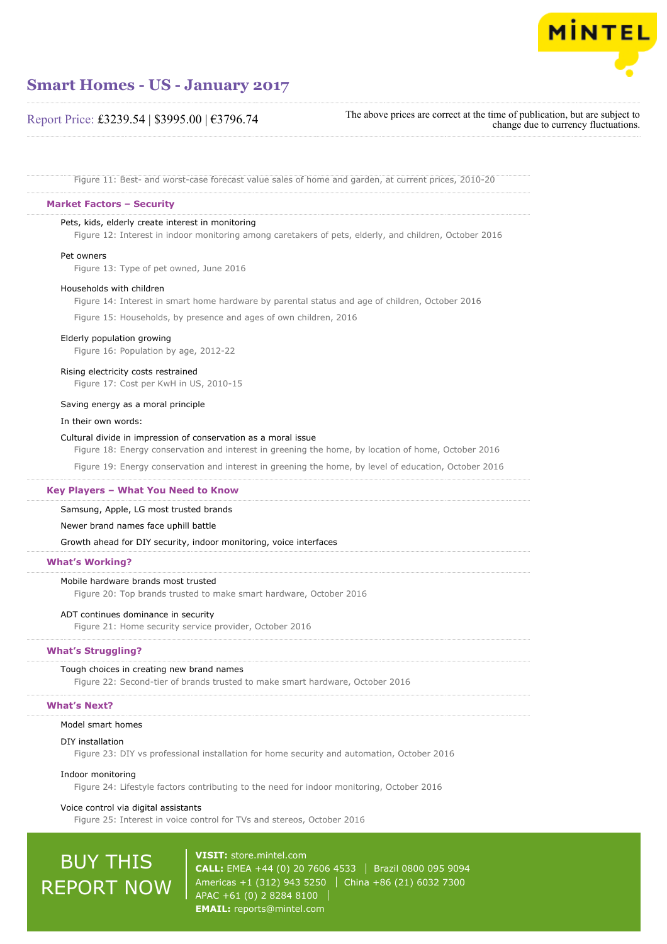

### Report Price: £3239.54 | \$3995.00 | €3796.74

The above prices are correct at the time of publication, but are subject to change due to currency fluctuations.

Figure 11: Best- and worst-case forecast value sales of home and garden, at current prices, 2010-20

#### **Market Factors – Security**

#### Pets, kids, elderly create interest in monitoring

Figure 12: Interest in indoor monitoring among caretakers of pets, elderly, and children, October 2016

#### Pet owners

Figure 13: Type of pet owned, June 2016

#### Households with children

Figure 14: Interest in smart home hardware by parental status and age of children, October 2016

Figure 15: Households, by presence and ages of own children, 2016

#### Elderly population growing

Figure 16: Population by age, 2012-22

#### Rising electricity costs restrained

Figure 17: Cost per KwH in US, 2010-15

#### Saving energy as a moral principle

#### In their own words:

#### Cultural divide in impression of conservation as a moral issue

Figure 18: Energy conservation and interest in greening the home, by location of home, October 2016

Figure 19: Energy conservation and interest in greening the home, by level of education, October 2016

#### **Key Players – What You Need to Know**

Samsung, Apple, LG most trusted brands

#### Newer brand names face uphill battle

Growth ahead for DIY security, indoor monitoring, voice interfaces

#### **What's Working?**

#### Mobile hardware brands most trusted

Figure 20: Top brands trusted to make smart hardware, October 2016

#### ADT continues dominance in security

Figure 21: Home security service provider, October 2016

#### **What's Struggling?**

#### Tough choices in creating new brand names

Figure 22: Second-tier of brands trusted to make smart hardware, October 2016

#### **What's Next?**

#### Model smart homes

#### DIY installation

Figure 23: DIY vs professional installation for home security and automation, October 2016

#### Indoor monitoring

Figure 24: Lifestyle factors contributing to the need for indoor monitoring, October 2016

#### Voice control via digital assistants

Figure 25: Interest in voice control for TVs and stereos, October 2016

# BUY THIS REPORT NOW

**VISIT:** [store.mintel.com](http://reports.mintel.com//display/store/792357/) **CALL:** EMEA +44 (0) 20 7606 4533 Brazil 0800 095 9094 Americas +1 (312) 943 5250 | China +86 (21) 6032 7300 APAC +61 (0) 2 8284 8100 **EMAIL:** [reports@mintel.com](mailto:reports@mintel.com)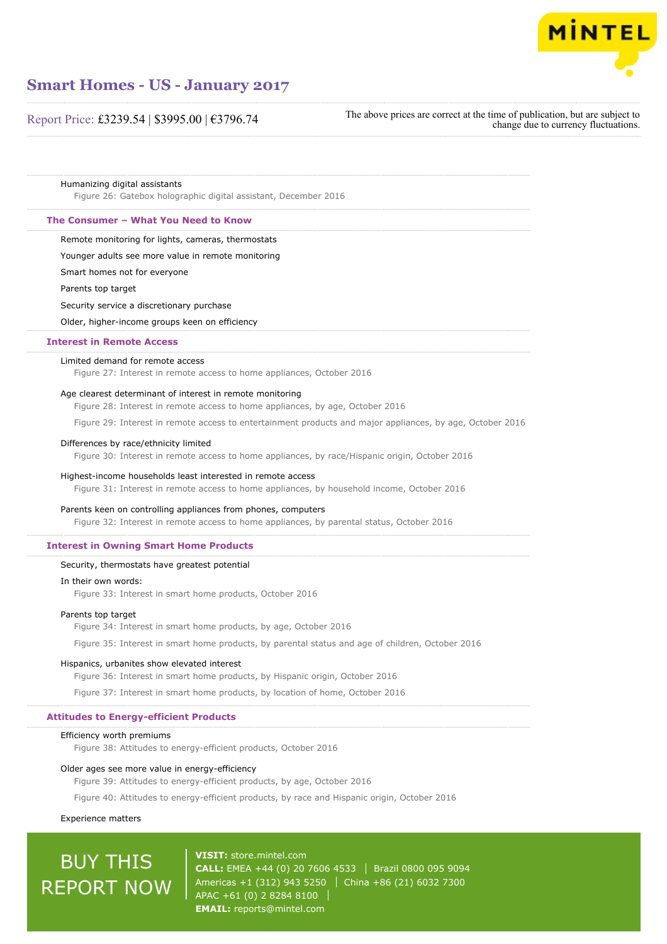

### Report Price: £3239.54 | \$3995.00 | €3796.74

The above prices are correct at the time of publication, but are subject to change due to currency fluctuations.

Humanizing digital assistants

Figure 26: Gatebox holographic digital assistant, December 2016

#### **The Consumer – What You Need to Know**

Remote monitoring for lights, cameras, thermostats

Younger adults see more value in remote monitoring

Smart homes not for everyone

Parents top target

Security service a discretionary purchase

Older, higher-income groups keen on efficiency

#### **Interest in Remote Access**

#### Limited demand for remote access

Figure 27: Interest in remote access to home appliances, October 2016

#### Age clearest determinant of interest in remote monitoring

Figure 28: Interest in remote access to home appliances, by age, October 2016

Figure 29: Interest in remote access to entertainment products and major appliances, by age, October 2016

#### Differences by race/ethnicity limited

Figure 30: Interest in remote access to home appliances, by race/Hispanic origin, October 2016

#### Highest-income households least interested in remote access

Figure 31: Interest in remote access to home appliances, by household income, October 2016

#### Parents keen on controlling appliances from phones, computers

Figure 32: Interest in remote access to home appliances, by parental status, October 2016

#### **Interest in Owning Smart Home Products**

#### Security, thermostats have greatest potential

#### In their own words:

Figure 33: Interest in smart home products, October 2016

#### Parents top target

Figure 34: Interest in smart home products, by age, October 2016

Figure 35: Interest in smart home products, by parental status and age of children, October 2016

#### Hispanics, urbanites show elevated interest

Figure 36: Interest in smart home products, by Hispanic origin, October 2016

Figure 37: Interest in smart home products, by location of home, October 2016

#### **Attitudes to Energy-efficient Products**

#### Efficiency worth premiums

Figure 38: Attitudes to energy-efficient products, October 2016

#### Older ages see more value in energy-efficiency

Figure 39: Attitudes to energy-efficient products, by age, October 2016

Figure 40: Attitudes to energy-efficient products, by race and Hispanic origin, October 2016

#### Experience matters

# BUY THIS REPORT NOW

**VISIT:** [store.mintel.com](http://reports.mintel.com//display/store/792357/) **CALL:** EMEA +44 (0) 20 7606 4533 Brazil 0800 095 9094 Americas +1 (312) 943 5250 | China +86 (21) 6032 7300 APAC +61 (0) 2 8284 8100 **EMAIL:** [reports@mintel.com](mailto:reports@mintel.com)